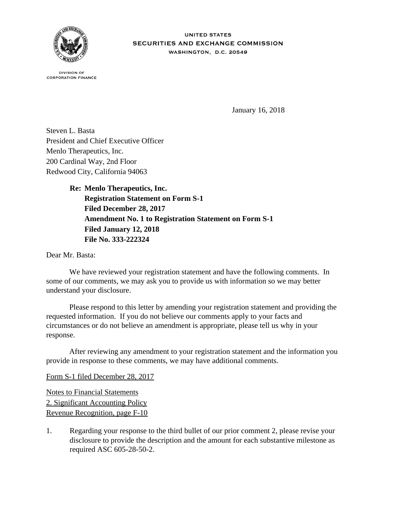

**UNITED STATES** SECURITIES AND EXCHANGE COMMISSION WASHINGTON, D.C. 20549

**DIVISION OF CORPORATION FINANCE** 

January 16, 2018

Steven L. Basta President and Chief Executive Officer Menlo Therapeutics, Inc. 200 Cardinal Way, 2nd Floor Redwood City, California 94063

> **Re: Menlo Therapeutics, Inc. Registration Statement on Form S-1 Filed December 28, 2017 Amendment No. 1 to Registration Statement on Form S-1 Filed January 12, 2018 File No. 333-222324**

Dear Mr. Basta:

We have reviewed your registration statement and have the following comments. In some of our comments, we may ask you to provide us with information so we may better understand your disclosure.

 Please respond to this letter by amending your registration statement and providing the requested information. If you do not believe our comments apply to your facts and circumstances or do not believe an amendment is appropriate, please tell us why in your response.

 After reviewing any amendment to your registration statement and the information you provide in response to these comments, we may have additional comments.

Form S-1 filed December 28, 2017

Notes to Financial Statements 2. Significant Accounting Policy Revenue Recognition, page F-10

1. Regarding your response to the third bullet of our prior comment 2, please revise your disclosure to provide the description and the amount for each substantive milestone as required ASC 605-28-50-2.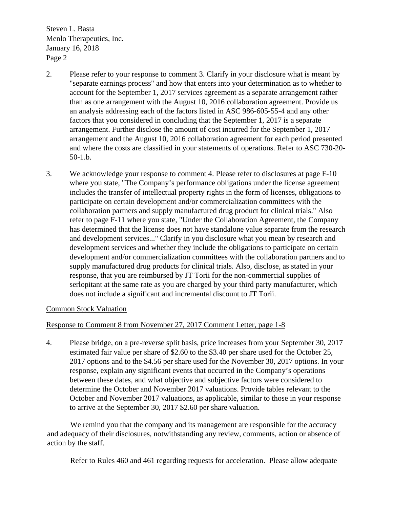$\frac{1}{2}$  Menlo Therapeutics, Inc. January 16,  $2018$ Page 2 Steven L. Basta

- 2. Please refer to your response to comment 3. Clarify in your disclosure what is meant by "separate earnings process" and how that enters into your determination as to whether to account for the September 1, 2017 services agreement as a separate arrangement rather than as one arrangement with the August 10, 2016 collaboration agreement. Provide us an analysis addressing each of the factors listed in ASC 986-605-55-4 and any other factors that you considered in concluding that the September 1, 2017 is a separate arrangement. Further disclose the amount of cost incurred for the September 1, 2017 arrangement and the August 10, 2016 collaboration agreement for each period presented and where the costs are classified in your statements of operations. Refer to ASC 730-20- 50-1.b.
- 3. We acknowledge your response to comment 4. Please refer to disclosures at page F-10 where you state, "The Company's performance obligations under the license agreement includes the transfer of intellectual property rights in the form of licenses, obligations to participate on certain development and/or commercialization committees with the collaboration partners and supply manufactured drug product for clinical trials." Also refer to page F-11 where you state, "Under the Collaboration Agreement, the Company has determined that the license does not have standalone value separate from the research and development services..." Clarify in you disclosure what you mean by research and development services and whether they include the obligations to participate on certain development and/or commercialization committees with the collaboration partners and to supply manufactured drug products for clinical trials. Also, disclose, as stated in your response, that you are reimbursed by JT Torii for the non-commercial supplies of serlopitant at the same rate as you are charged by your third party manufacturer, which does not include a significant and incremental discount to JT Torii.

## Common Stock Valuation

## Response to Comment 8 from November 27, 2017 Comment Letter, page 1-8

4. Please bridge, on a pre-reverse split basis, price increases from your September 30, 2017 estimated fair value per share of \$2.60 to the \$3.40 per share used for the October 25, 2017 options and to the \$4.56 per share used for the November 30, 2017 options. In your response, explain any significant events that occurred in the Company's operations between these dates, and what objective and subjective factors were considered to determine the October and November 2017 valuations. Provide tables relevant to the October and November 2017 valuations, as applicable, similar to those in your response to arrive at the September 30, 2017 \$2.60 per share valuation.

We remind you that the company and its management are responsible for the accuracy and adequacy of their disclosures, notwithstanding any review, comments, action or absence of action by the staff.

Refer to Rules 460 and 461 regarding requests for acceleration. Please allow adequate